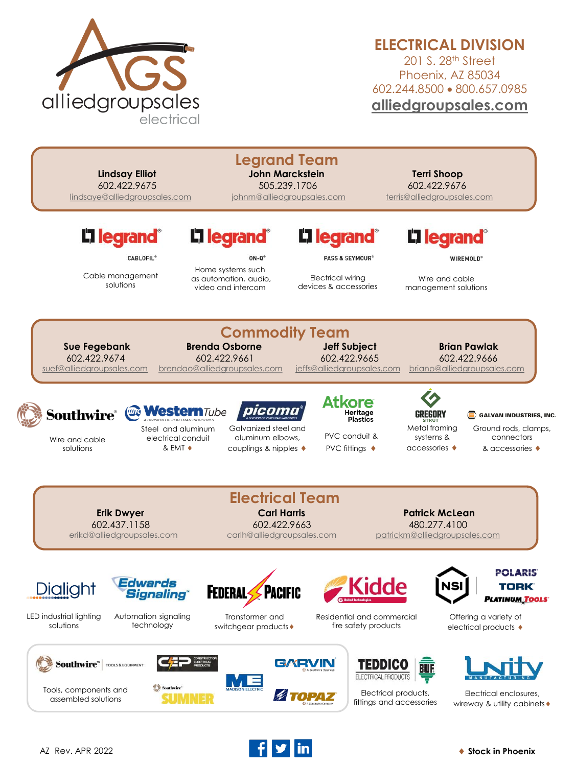

## **ELECTRICAL DIVISION**

201 S. 28<sup>th</sup> Street Phoenix, AZ 85034 602.244.8500 • 800.657.0985 **[alliedgroupsales.com](http://www.alliedgroupsales.com/)**